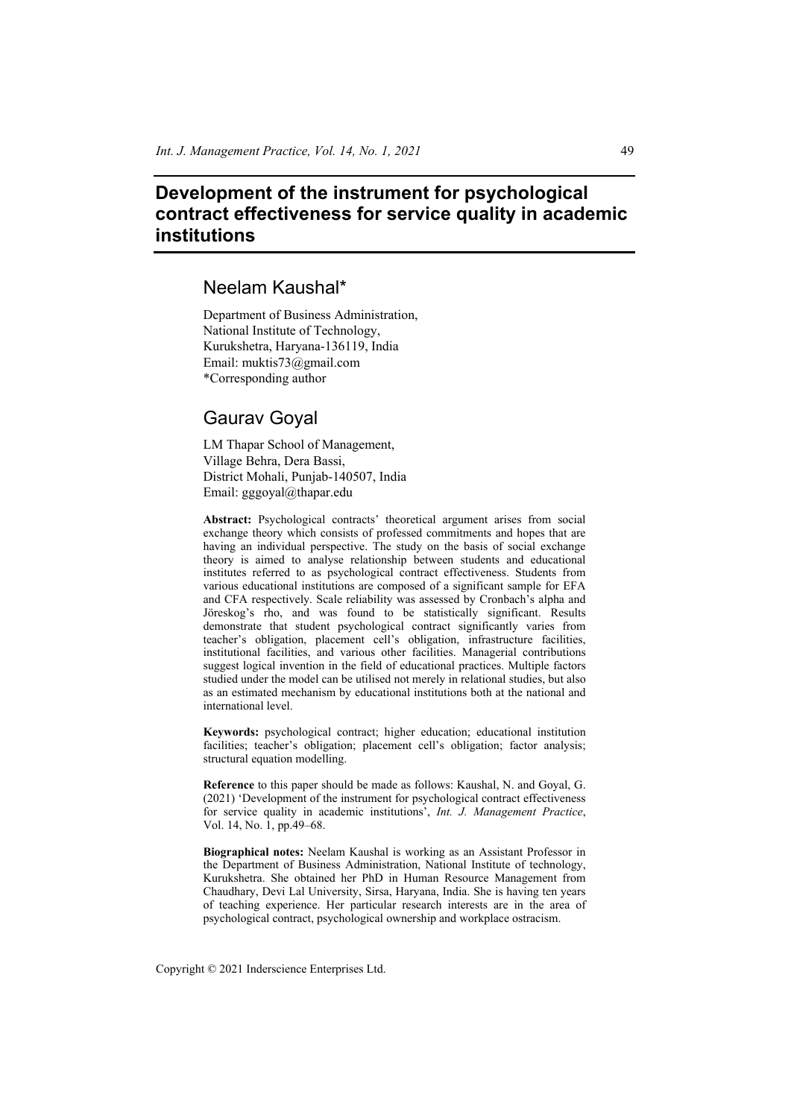# **Development of the instrument for psychological contract effectiveness for service quality in academic institutions**

# Neelam Kaushal\*

Department of Business Administration, National Institute of Technology, Kurukshetra, Haryana-136119, India Email: muktis73@gmail.com \*Corresponding author

# Gaurav Goyal

LM Thapar School of Management, Village Behra, Dera Bassi, District Mohali, Punjab-140507, India Email: gggoyal@thapar.edu

**Abstract:** Psychological contracts' theoretical argument arises from social exchange theory which consists of professed commitments and hopes that are having an individual perspective. The study on the basis of social exchange theory is aimed to analyse relationship between students and educational institutes referred to as psychological contract effectiveness. Students from various educational institutions are composed of a significant sample for EFA and CFA respectively. Scale reliability was assessed by Cronbach's alpha and Jöreskog's rho, and was found to be statistically significant. Results demonstrate that student psychological contract significantly varies from teacher's obligation, placement cell's obligation, infrastructure facilities, institutional facilities, and various other facilities. Managerial contributions suggest logical invention in the field of educational practices. Multiple factors studied under the model can be utilised not merely in relational studies, but also as an estimated mechanism by educational institutions both at the national and international level.

**Keywords:** psychological contract; higher education; educational institution facilities; teacher's obligation; placement cell's obligation; factor analysis; structural equation modelling.

**Reference** to this paper should be made as follows: Kaushal, N. and Goyal, G. (2021) 'Development of the instrument for psychological contract effectiveness for service quality in academic institutions', *Int. J. Management Practice*, Vol. 14, No. 1, pp.49–68.

**Biographical notes:** Neelam Kaushal is working as an Assistant Professor in the Department of Business Administration, National Institute of technology, Kurukshetra. She obtained her PhD in Human Resource Management from Chaudhary, Devi Lal University, Sirsa, Haryana, India. She is having ten years of teaching experience. Her particular research interests are in the area of psychological contract, psychological ownership and workplace ostracism.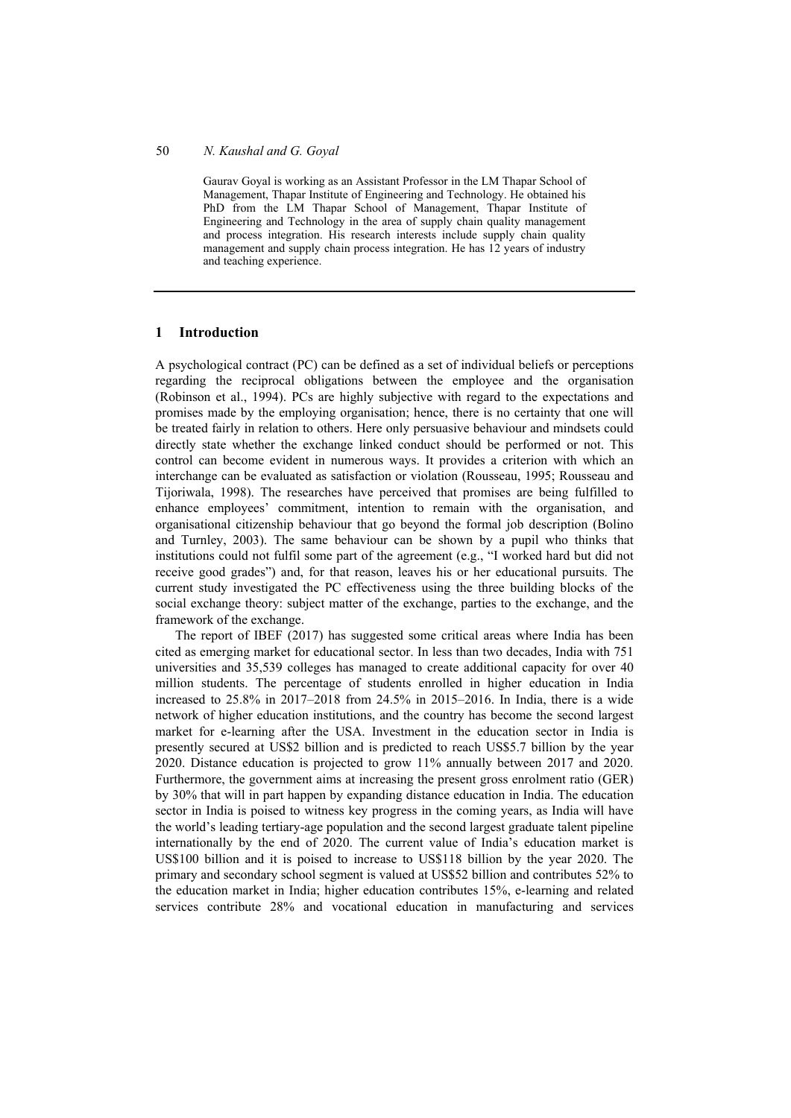Gaurav Goyal is working as an Assistant Professor in the LM Thapar School of Management, Thapar Institute of Engineering and Technology. He obtained his PhD from the LM Thapar School of Management, Thapar Institute of Engineering and Technology in the area of supply chain quality management and process integration. His research interests include supply chain quality management and supply chain process integration. He has 12 years of industry and teaching experience.

### **1 Introduction**

A psychological contract (PC) can be defined as a set of individual beliefs or perceptions regarding the reciprocal obligations between the employee and the organisation (Robinson et al., 1994). PCs are highly subjective with regard to the expectations and promises made by the employing organisation; hence, there is no certainty that one will be treated fairly in relation to others. Here only persuasive behaviour and mindsets could directly state whether the exchange linked conduct should be performed or not. This control can become evident in numerous ways. It provides a criterion with which an interchange can be evaluated as satisfaction or violation (Rousseau, 1995; Rousseau and Tijoriwala, 1998). The researches have perceived that promises are being fulfilled to enhance employees' commitment, intention to remain with the organisation, and organisational citizenship behaviour that go beyond the formal job description (Bolino and Turnley, 2003). The same behaviour can be shown by a pupil who thinks that institutions could not fulfil some part of the agreement (e.g., "I worked hard but did not receive good grades") and, for that reason, leaves his or her educational pursuits. The current study investigated the PC effectiveness using the three building blocks of the social exchange theory: subject matter of the exchange, parties to the exchange, and the framework of the exchange.

The report of IBEF (2017) has suggested some critical areas where India has been cited as emerging market for educational sector. In less than two decades, India with 751 universities and 35,539 colleges has managed to create additional capacity for over 40 million students. The percentage of students enrolled in higher education in India increased to 25.8% in 2017–2018 from 24.5% in 2015–2016. In India, there is a wide network of higher education institutions, and the country has become the second largest market for e-learning after the USA. Investment in the education sector in India is presently secured at US\$2 billion and is predicted to reach US\$5.7 billion by the year 2020. Distance education is projected to grow 11% annually between 2017 and 2020. Furthermore, the government aims at increasing the present gross enrolment ratio (GER) by 30% that will in part happen by expanding distance education in India. The education sector in India is poised to witness key progress in the coming years, as India will have the world's leading tertiary-age population and the second largest graduate talent pipeline internationally by the end of 2020. The current value of India's education market is US\$100 billion and it is poised to increase to US\$118 billion by the year 2020. The primary and secondary school segment is valued at US\$52 billion and contributes 52% to the education market in India; higher education contributes 15%, e-learning and related services contribute 28% and vocational education in manufacturing and services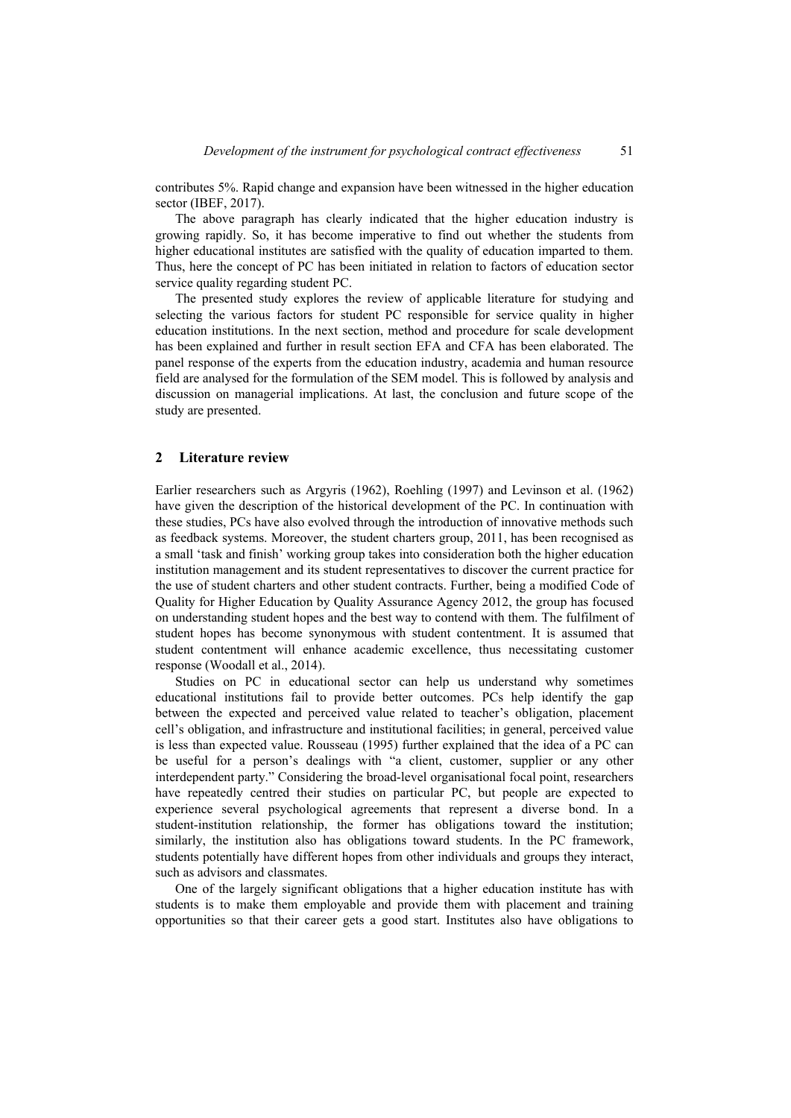contributes 5%. Rapid change and expansion have been witnessed in the higher education sector (IBEF, 2017).

The above paragraph has clearly indicated that the higher education industry is growing rapidly. So, it has become imperative to find out whether the students from higher educational institutes are satisfied with the quality of education imparted to them. Thus, here the concept of PC has been initiated in relation to factors of education sector service quality regarding student PC.

The presented study explores the review of applicable literature for studying and selecting the various factors for student PC responsible for service quality in higher education institutions. In the next section, method and procedure for scale development has been explained and further in result section EFA and CFA has been elaborated. The panel response of the experts from the education industry, academia and human resource field are analysed for the formulation of the SEM model. This is followed by analysis and discussion on managerial implications. At last, the conclusion and future scope of the study are presented.

#### **2 Literature review**

Earlier researchers such as Argyris (1962), Roehling (1997) and Levinson et al. (1962) have given the description of the historical development of the PC. In continuation with these studies, PCs have also evolved through the introduction of innovative methods such as feedback systems. Moreover, the student charters group, 2011, has been recognised as a small 'task and finish' working group takes into consideration both the higher education institution management and its student representatives to discover the current practice for the use of student charters and other student contracts. Further, being a modified Code of Quality for Higher Education by Quality Assurance Agency 2012, the group has focused on understanding student hopes and the best way to contend with them. The fulfilment of student hopes has become synonymous with student contentment. It is assumed that student contentment will enhance academic excellence, thus necessitating customer response (Woodall et al., 2014).

Studies on PC in educational sector can help us understand why sometimes educational institutions fail to provide better outcomes. PCs help identify the gap between the expected and perceived value related to teacher's obligation, placement cell's obligation, and infrastructure and institutional facilities; in general, perceived value is less than expected value. Rousseau (1995) further explained that the idea of a PC can be useful for a person's dealings with "a client, customer, supplier or any other interdependent party." Considering the broad-level organisational focal point, researchers have repeatedly centred their studies on particular PC, but people are expected to experience several psychological agreements that represent a diverse bond. In a student-institution relationship, the former has obligations toward the institution; similarly, the institution also has obligations toward students. In the PC framework, students potentially have different hopes from other individuals and groups they interact, such as advisors and classmates.

One of the largely significant obligations that a higher education institute has with students is to make them employable and provide them with placement and training opportunities so that their career gets a good start. Institutes also have obligations to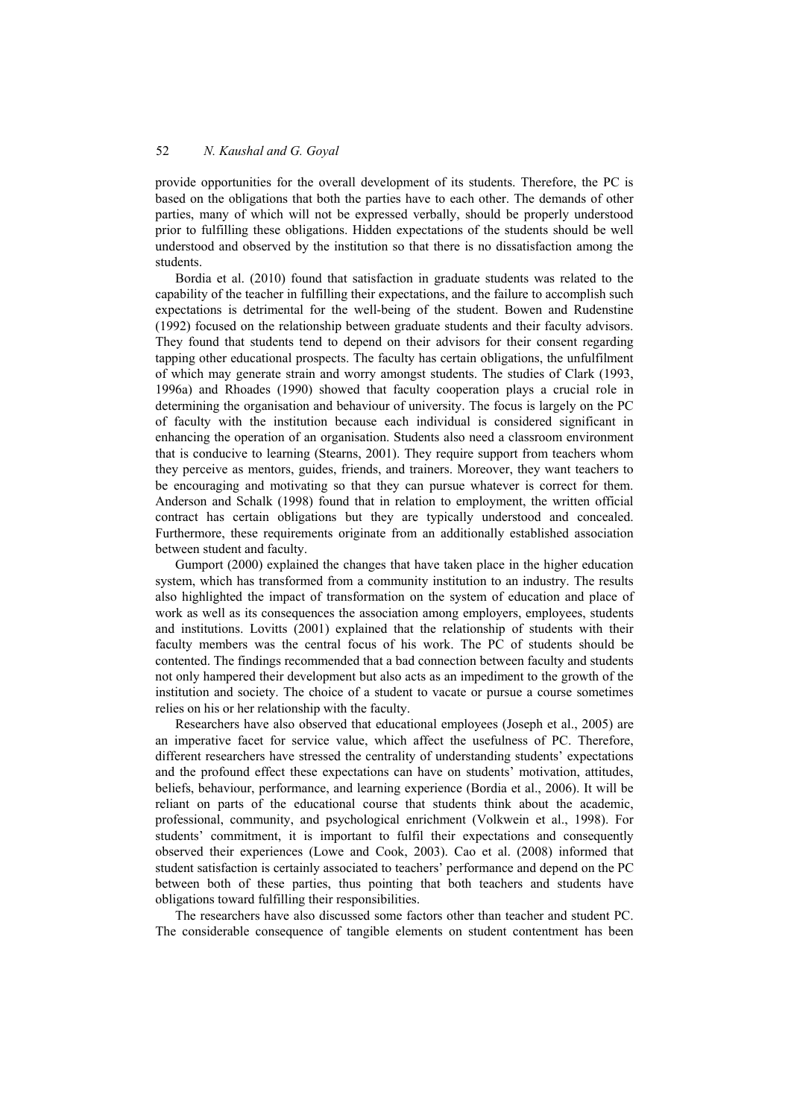provide opportunities for the overall development of its students. Therefore, the PC is based on the obligations that both the parties have to each other. The demands of other parties, many of which will not be expressed verbally, should be properly understood prior to fulfilling these obligations. Hidden expectations of the students should be well understood and observed by the institution so that there is no dissatisfaction among the students.

Bordia et al. (2010) found that satisfaction in graduate students was related to the capability of the teacher in fulfilling their expectations, and the failure to accomplish such expectations is detrimental for the well-being of the student. Bowen and Rudenstine (1992) focused on the relationship between graduate students and their faculty advisors. They found that students tend to depend on their advisors for their consent regarding tapping other educational prospects. The faculty has certain obligations, the unfulfilment of which may generate strain and worry amongst students. The studies of Clark (1993, 1996a) and Rhoades (1990) showed that faculty cooperation plays a crucial role in determining the organisation and behaviour of university. The focus is largely on the PC of faculty with the institution because each individual is considered significant in enhancing the operation of an organisation. Students also need a classroom environment that is conducive to learning (Stearns, 2001). They require support from teachers whom they perceive as mentors, guides, friends, and trainers. Moreover, they want teachers to be encouraging and motivating so that they can pursue whatever is correct for them. Anderson and Schalk (1998) found that in relation to employment, the written official contract has certain obligations but they are typically understood and concealed. Furthermore, these requirements originate from an additionally established association between student and faculty.

Gumport (2000) explained the changes that have taken place in the higher education system, which has transformed from a community institution to an industry. The results also highlighted the impact of transformation on the system of education and place of work as well as its consequences the association among employers, employees, students and institutions. Lovitts (2001) explained that the relationship of students with their faculty members was the central focus of his work. The PC of students should be contented. The findings recommended that a bad connection between faculty and students not only hampered their development but also acts as an impediment to the growth of the institution and society. The choice of a student to vacate or pursue a course sometimes relies on his or her relationship with the faculty.

Researchers have also observed that educational employees (Joseph et al., 2005) are an imperative facet for service value, which affect the usefulness of PC. Therefore, different researchers have stressed the centrality of understanding students' expectations and the profound effect these expectations can have on students' motivation, attitudes, beliefs, behaviour, performance, and learning experience (Bordia et al., 2006). It will be reliant on parts of the educational course that students think about the academic, professional, community, and psychological enrichment (Volkwein et al., 1998). For students' commitment, it is important to fulfil their expectations and consequently observed their experiences (Lowe and Cook, 2003). Cao et al. (2008) informed that student satisfaction is certainly associated to teachers' performance and depend on the PC between both of these parties, thus pointing that both teachers and students have obligations toward fulfilling their responsibilities.

The researchers have also discussed some factors other than teacher and student PC. The considerable consequence of tangible elements on student contentment has been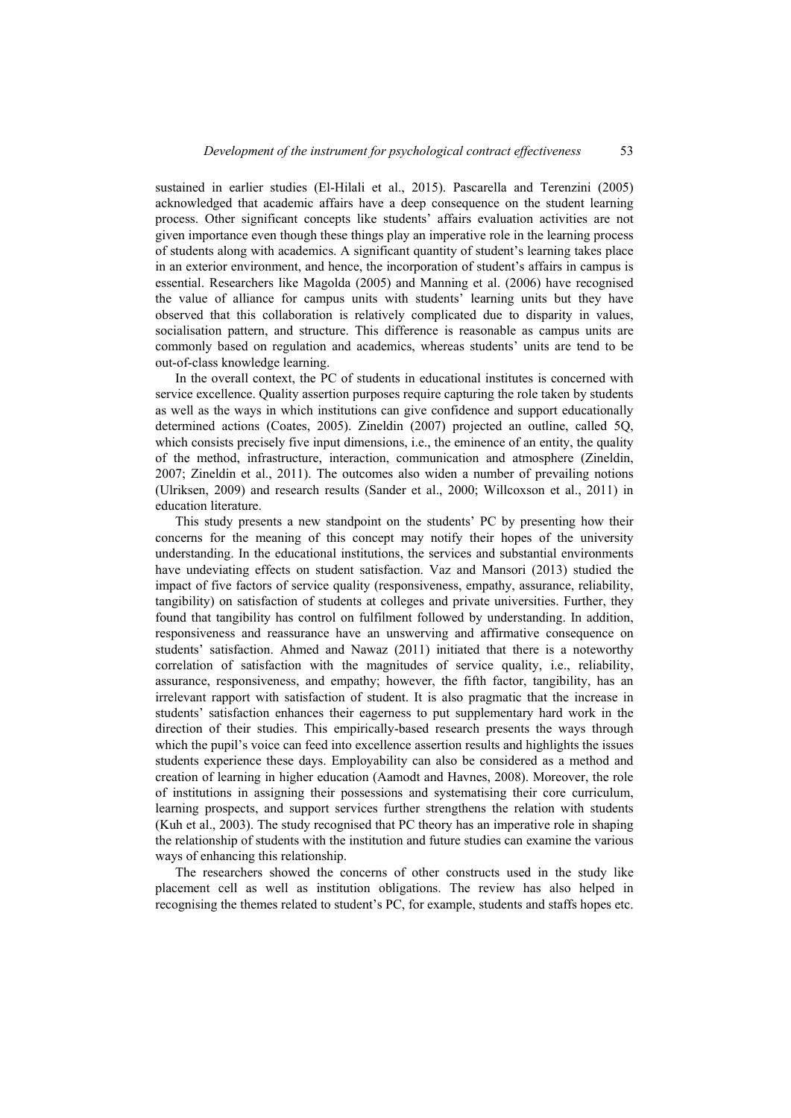sustained in earlier studies (El-Hilali et al., 2015). Pascarella and Terenzini (2005) acknowledged that academic affairs have a deep consequence on the student learning process. Other significant concepts like students' affairs evaluation activities are not given importance even though these things play an imperative role in the learning process of students along with academics. A significant quantity of student's learning takes place in an exterior environment, and hence, the incorporation of student's affairs in campus is essential. Researchers like Magolda (2005) and Manning et al. (2006) have recognised the value of alliance for campus units with students' learning units but they have observed that this collaboration is relatively complicated due to disparity in values, socialisation pattern, and structure. This difference is reasonable as campus units are commonly based on regulation and academics, whereas students' units are tend to be out-of-class knowledge learning.

In the overall context, the PC of students in educational institutes is concerned with service excellence. Quality assertion purposes require capturing the role taken by students as well as the ways in which institutions can give confidence and support educationally determined actions (Coates, 2005). Zineldin (2007) projected an outline, called 5Q, which consists precisely five input dimensions, i.e., the eminence of an entity, the quality of the method, infrastructure, interaction, communication and atmosphere (Zineldin, 2007; Zineldin et al., 2011). The outcomes also widen a number of prevailing notions (Ulriksen, 2009) and research results (Sander et al., 2000; Willcoxson et al., 2011) in education literature.

This study presents a new standpoint on the students' PC by presenting how their concerns for the meaning of this concept may notify their hopes of the university understanding. In the educational institutions, the services and substantial environments have undeviating effects on student satisfaction. Vaz and Mansori (2013) studied the impact of five factors of service quality (responsiveness, empathy, assurance, reliability, tangibility) on satisfaction of students at colleges and private universities. Further, they found that tangibility has control on fulfilment followed by understanding. In addition, responsiveness and reassurance have an unswerving and affirmative consequence on students' satisfaction. Ahmed and Nawaz (2011) initiated that there is a noteworthy correlation of satisfaction with the magnitudes of service quality, i.e., reliability, assurance, responsiveness, and empathy; however, the fifth factor, tangibility, has an irrelevant rapport with satisfaction of student. It is also pragmatic that the increase in students' satisfaction enhances their eagerness to put supplementary hard work in the direction of their studies. This empirically-based research presents the ways through which the pupil's voice can feed into excellence assertion results and highlights the issues students experience these days. Employability can also be considered as a method and creation of learning in higher education (Aamodt and Havnes, 2008). Moreover, the role of institutions in assigning their possessions and systematising their core curriculum, learning prospects, and support services further strengthens the relation with students (Kuh et al., 2003). The study recognised that PC theory has an imperative role in shaping the relationship of students with the institution and future studies can examine the various ways of enhancing this relationship.

The researchers showed the concerns of other constructs used in the study like placement cell as well as institution obligations. The review has also helped in recognising the themes related to student's PC, for example, students and staffs hopes etc.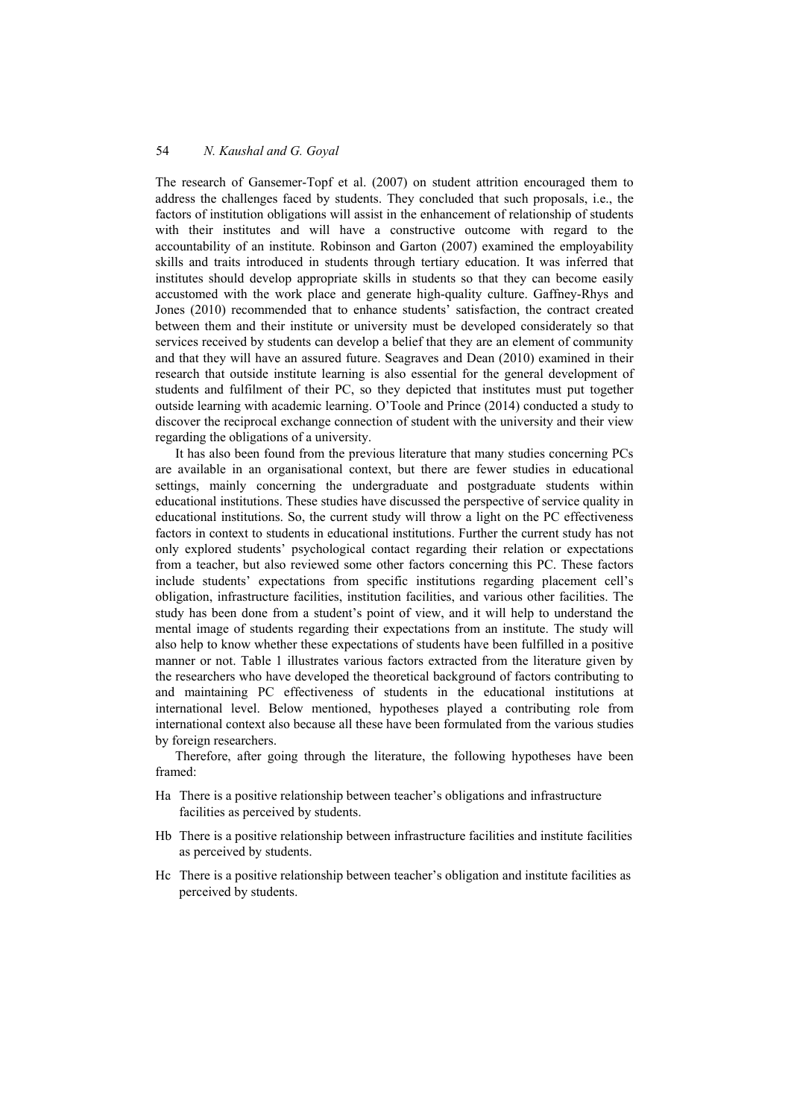The research of Gansemer-Topf et al. (2007) on student attrition encouraged them to address the challenges faced by students. They concluded that such proposals, i.e., the factors of institution obligations will assist in the enhancement of relationship of students with their institutes and will have a constructive outcome with regard to the accountability of an institute. Robinson and Garton (2007) examined the employability skills and traits introduced in students through tertiary education. It was inferred that institutes should develop appropriate skills in students so that they can become easily accustomed with the work place and generate high-quality culture. Gaffney-Rhys and Jones (2010) recommended that to enhance students' satisfaction, the contract created between them and their institute or university must be developed considerately so that services received by students can develop a belief that they are an element of community and that they will have an assured future. Seagraves and Dean (2010) examined in their research that outside institute learning is also essential for the general development of students and fulfilment of their PC, so they depicted that institutes must put together outside learning with academic learning. O'Toole and Prince (2014) conducted a study to discover the reciprocal exchange connection of student with the university and their view regarding the obligations of a university.

It has also been found from the previous literature that many studies concerning PCs are available in an organisational context, but there are fewer studies in educational settings, mainly concerning the undergraduate and postgraduate students within educational institutions. These studies have discussed the perspective of service quality in educational institutions. So, the current study will throw a light on the PC effectiveness factors in context to students in educational institutions. Further the current study has not only explored students' psychological contact regarding their relation or expectations from a teacher, but also reviewed some other factors concerning this PC. These factors include students' expectations from specific institutions regarding placement cell's obligation, infrastructure facilities, institution facilities, and various other facilities. The study has been done from a student's point of view, and it will help to understand the mental image of students regarding their expectations from an institute. The study will also help to know whether these expectations of students have been fulfilled in a positive manner or not. Table 1 illustrates various factors extracted from the literature given by the researchers who have developed the theoretical background of factors contributing to and maintaining PC effectiveness of students in the educational institutions at international level. Below mentioned, hypotheses played a contributing role from international context also because all these have been formulated from the various studies by foreign researchers.

Therefore, after going through the literature, the following hypotheses have been framed:

- Ha There is a positive relationship between teacher's obligations and infrastructure facilities as perceived by students.
- Hb There is a positive relationship between infrastructure facilities and institute facilities as perceived by students.
- Hc There is a positive relationship between teacher's obligation and institute facilities as perceived by students.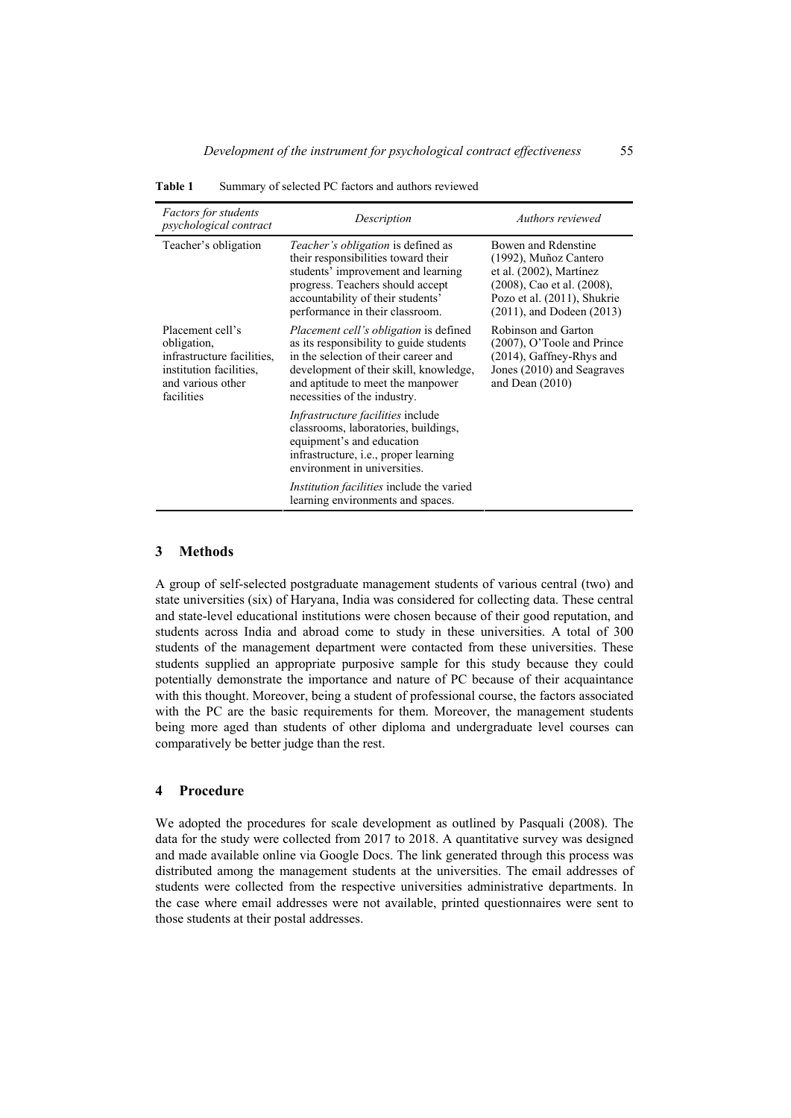| <i>Factors for students</i><br><i>psychological contract</i>                                                                | Description                                                                                                                                                                                                                                     | Authors reviewed                                                                                                                                                       |
|-----------------------------------------------------------------------------------------------------------------------------|-------------------------------------------------------------------------------------------------------------------------------------------------------------------------------------------------------------------------------------------------|------------------------------------------------------------------------------------------------------------------------------------------------------------------------|
| Teacher's obligation                                                                                                        | <i>Teacher's obligation</i> is defined as<br>their responsibilities toward their<br>students' improvement and learning<br>progress. Teachers should accept<br>accountability of their students'<br>performance in their classroom.              | Bowen and Rdenstine<br>(1992), Muñoz Cantero<br>et al. (2002), Martínez<br>(2008), Cao et al. (2008),<br>Pozo et al. (2011), Shukrie<br>$(2011)$ , and Dodeen $(2013)$ |
| Placement cell's<br>obligation,<br>infrastructure facilities.<br>institution facilities,<br>and various other<br>facilities | <i>Placement cell's obligation</i> is defined<br>as its responsibility to guide students<br>in the selection of their career and<br>development of their skill, knowledge,<br>and aptitude to meet the manpower<br>necessities of the industry. | Robinson and Garton<br>(2007), O'Toole and Prince<br>(2014), Gaffney-Rhys and<br>Jones (2010) and Seagraves<br>and Dean $(2010)$                                       |
|                                                                                                                             | <i>Infrastructure facilities</i> include<br>classrooms, laboratories, buildings,<br>equipment's and education<br>infrastructure, i.e., proper learning<br>environment in universities.                                                          |                                                                                                                                                                        |
|                                                                                                                             | <i>Institution facilities</i> include the varied<br>learning environments and spaces.                                                                                                                                                           |                                                                                                                                                                        |

**Table 1** Summary of selected PC factors and authors reviewed

#### **3 Methods**

A group of self-selected postgraduate management students of various central (two) and state universities (six) of Haryana, India was considered for collecting data. These central and state-level educational institutions were chosen because of their good reputation, and students across India and abroad come to study in these universities. A total of 300 students of the management department were contacted from these universities. These students supplied an appropriate purposive sample for this study because they could potentially demonstrate the importance and nature of PC because of their acquaintance with this thought. Moreover, being a student of professional course, the factors associated with the PC are the basic requirements for them. Moreover, the management students being more aged than students of other diploma and undergraduate level courses can comparatively be better judge than the rest.

#### **4 Procedure**

We adopted the procedures for scale development as outlined by Pasquali (2008). The data for the study were collected from 2017 to 2018. A quantitative survey was designed and made available online via Google Docs. The link generated through this process was distributed among the management students at the universities. The email addresses of students were collected from the respective universities administrative departments. In the case where email addresses were not available, printed questionnaires were sent to those students at their postal addresses.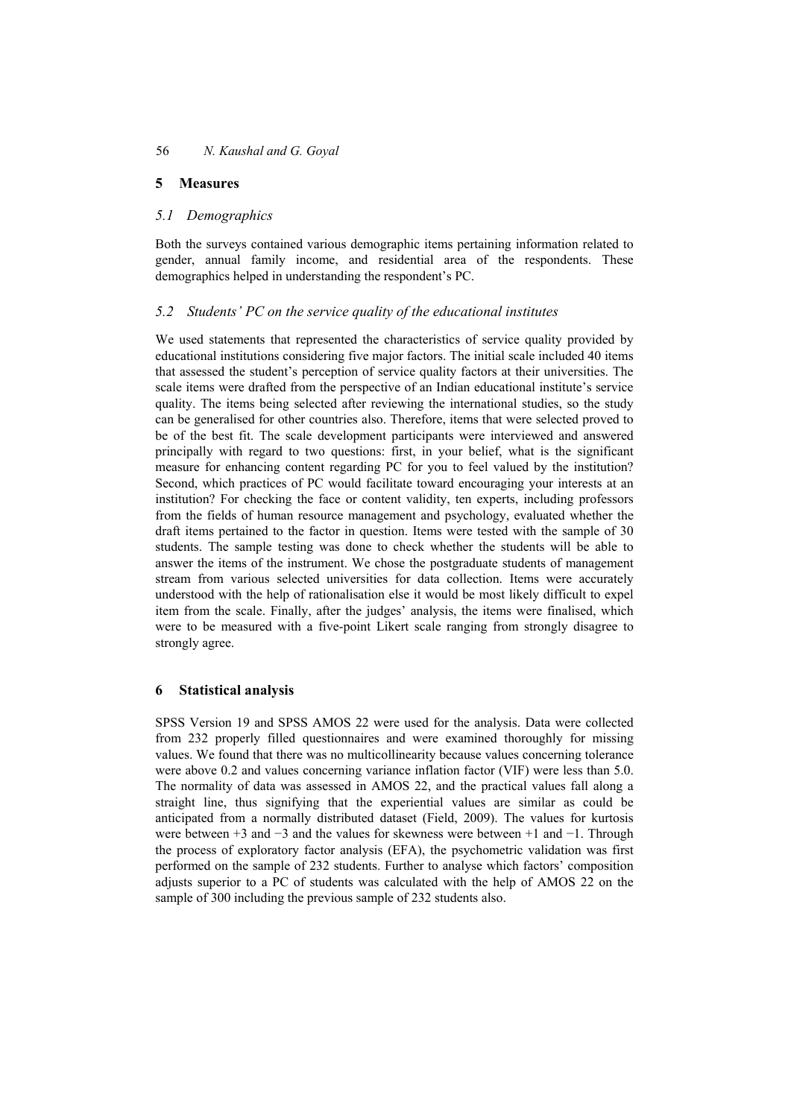# **5 Measures**

# *5.1 Demographics*

Both the surveys contained various demographic items pertaining information related to gender, annual family income, and residential area of the respondents. These demographics helped in understanding the respondent's PC.

# *5.2 Students' PC on the service quality of the educational institutes*

We used statements that represented the characteristics of service quality provided by educational institutions considering five major factors. The initial scale included 40 items that assessed the student's perception of service quality factors at their universities. The scale items were drafted from the perspective of an Indian educational institute's service quality. The items being selected after reviewing the international studies, so the study can be generalised for other countries also. Therefore, items that were selected proved to be of the best fit. The scale development participants were interviewed and answered principally with regard to two questions: first, in your belief, what is the significant measure for enhancing content regarding PC for you to feel valued by the institution? Second, which practices of PC would facilitate toward encouraging your interests at an institution? For checking the face or content validity, ten experts, including professors from the fields of human resource management and psychology, evaluated whether the draft items pertained to the factor in question. Items were tested with the sample of 30 students. The sample testing was done to check whether the students will be able to answer the items of the instrument. We chose the postgraduate students of management stream from various selected universities for data collection. Items were accurately understood with the help of rationalisation else it would be most likely difficult to expel item from the scale. Finally, after the judges' analysis, the items were finalised, which were to be measured with a five-point Likert scale ranging from strongly disagree to strongly agree.

# **6 Statistical analysis**

SPSS Version 19 and SPSS AMOS 22 were used for the analysis. Data were collected from 232 properly filled questionnaires and were examined thoroughly for missing values. We found that there was no multicollinearity because values concerning tolerance were above 0.2 and values concerning variance inflation factor (VIF) were less than 5.0. The normality of data was assessed in AMOS 22, and the practical values fall along a straight line, thus signifying that the experiential values are similar as could be anticipated from a normally distributed dataset (Field, 2009). The values for kurtosis were between +3 and −3 and the values for skewness were between +1 and −1. Through the process of exploratory factor analysis (EFA), the psychometric validation was first performed on the sample of 232 students. Further to analyse which factors' composition adjusts superior to a PC of students was calculated with the help of AMOS 22 on the sample of 300 including the previous sample of 232 students also.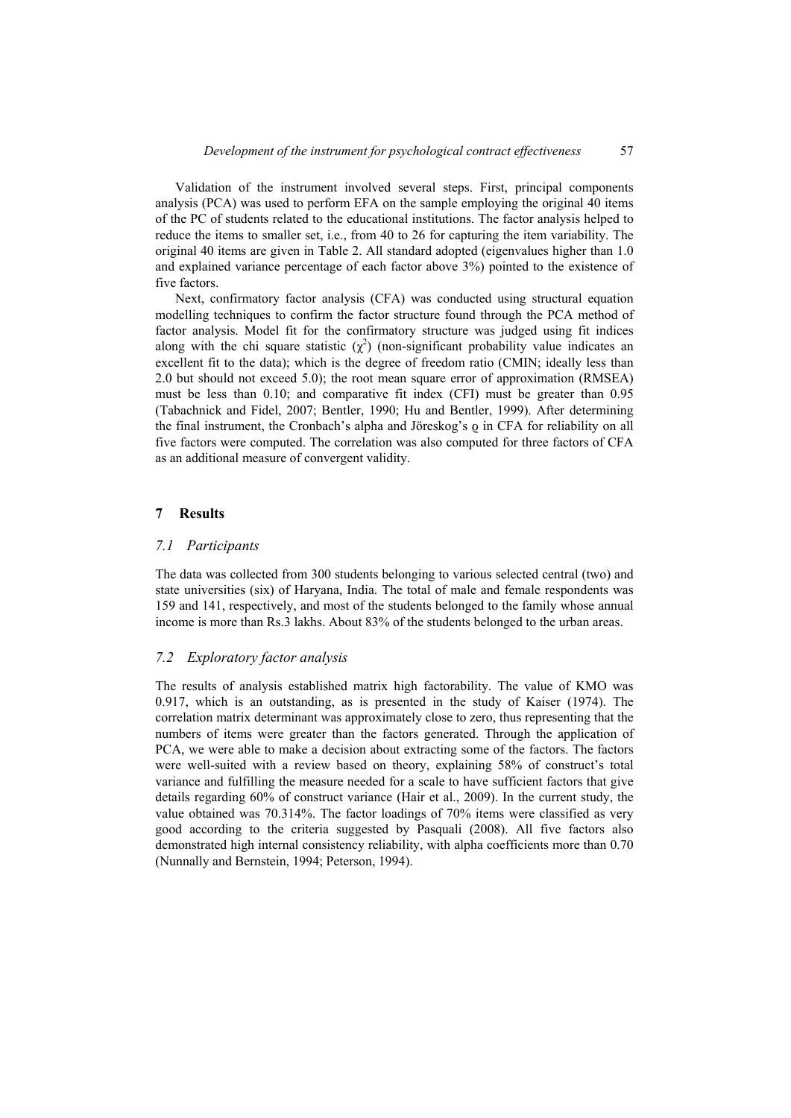Validation of the instrument involved several steps. First, principal components analysis (PCA) was used to perform EFA on the sample employing the original 40 items of the PC of students related to the educational institutions. The factor analysis helped to reduce the items to smaller set, i.e., from 40 to 26 for capturing the item variability. The original 40 items are given in Table 2. All standard adopted (eigenvalues higher than 1.0 and explained variance percentage of each factor above 3%) pointed to the existence of five factors.

Next, confirmatory factor analysis (CFA) was conducted using structural equation modelling techniques to confirm the factor structure found through the PCA method of factor analysis. Model fit for the confirmatory structure was judged using fit indices along with the chi square statistic  $(\chi^2)$  (non-significant probability value indicates an excellent fit to the data); which is the degree of freedom ratio (CMIN; ideally less than 2.0 but should not exceed 5.0); the root mean square error of approximation (RMSEA) must be less than 0.10; and comparative fit index (CFI) must be greater than 0.95 (Tabachnick and Fidel, 2007; Bentler, 1990; Hu and Bentler, 1999). After determining the final instrument, the Cronbach's alpha and Jöreskog's o in CFA for reliability on all five factors were computed. The correlation was also computed for three factors of CFA as an additional measure of convergent validity.

#### **7 Results**

#### *7.1 Participants*

The data was collected from 300 students belonging to various selected central (two) and state universities (six) of Haryana, India. The total of male and female respondents was 159 and 141, respectively, and most of the students belonged to the family whose annual income is more than Rs.3 lakhs. About 83% of the students belonged to the urban areas.

#### *7.2 Exploratory factor analysis*

The results of analysis established matrix high factorability. The value of KMO was 0.917, which is an outstanding, as is presented in the study of Kaiser (1974). The correlation matrix determinant was approximately close to zero, thus representing that the numbers of items were greater than the factors generated. Through the application of PCA, we were able to make a decision about extracting some of the factors. The factors were well-suited with a review based on theory, explaining 58% of construct's total variance and fulfilling the measure needed for a scale to have sufficient factors that give details regarding 60% of construct variance (Hair et al., 2009). In the current study, the value obtained was 70.314%. The factor loadings of 70% items were classified as very good according to the criteria suggested by Pasquali (2008). All five factors also demonstrated high internal consistency reliability, with alpha coefficients more than 0.70 (Nunnally and Bernstein, 1994; Peterson, 1994).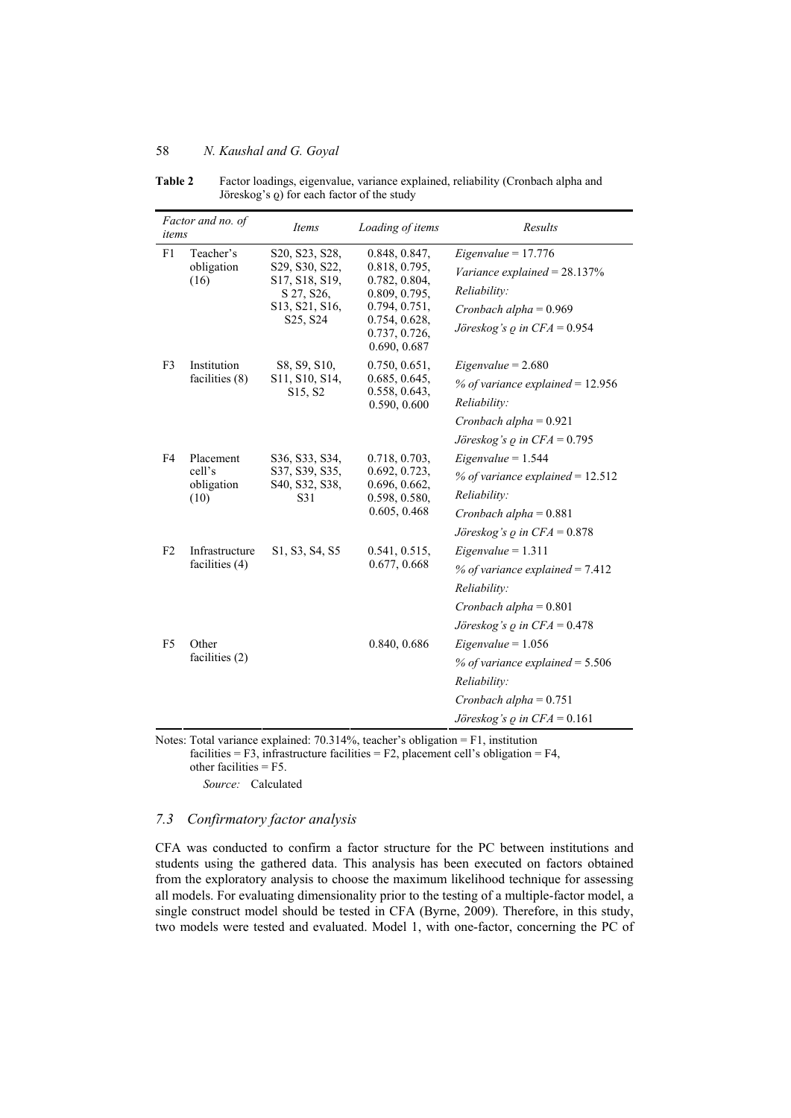| Factor and no. of<br>items |                                           | Loading of items<br>Items                                                                                               |                                                                                                                                     | Results                                                                                                                                    |  |
|----------------------------|-------------------------------------------|-------------------------------------------------------------------------------------------------------------------------|-------------------------------------------------------------------------------------------------------------------------------------|--------------------------------------------------------------------------------------------------------------------------------------------|--|
| F1                         | Teacher's<br>obligation<br>(16)           | S20, S23, S28,<br>S29, S30, S22,<br>S17, S18, S19,<br>S 27, S26,<br>S13, S21, S16,<br>S <sub>25</sub> , S <sub>24</sub> | 0.848, 0.847,<br>0.818, 0.795,<br>0.782, 0.804,<br>0.809, 0.795,<br>0.794, 0.751,<br>0.754, 0.628,<br>0.737, 0.726,<br>0.690, 0.687 | $Eigenvalue = 17.776$<br>Variance explained = $28.137\%$<br>Reliability:<br>Cronbach alpha = $0.969$<br>Jöreskog's $\rho$ in CFA = 0.954   |  |
| F <sub>3</sub>             | Institution<br>facilities (8)             | S8, S9, S10,<br>S <sub>11</sub> , S <sub>10</sub> , S <sub>14</sub> ,<br>S <sub>15</sub> , S <sub>2</sub>               | 0.750, 0.651,<br>0.685, 0.645,<br>0.558, 0.643,<br>0.590, 0.600                                                                     | $Eigenvalue = 2.680$<br>% of variance explained = $12.956$<br>Reliability:<br>Cronbach alpha = $0.921$<br>Jöreskog's $\rho$ in CFA = 0.795 |  |
| F4                         | Placement<br>cell's<br>obligation<br>(10) | S36, S33, S34,<br>S37, S39, S35,<br>S40, S32, S38,<br>S31                                                               | 0.718, 0.703,<br>0.692, 0.723,<br>0.696, 0.662,<br>0.598, 0.580,<br>0.605, 0.468                                                    | $Eigenvalue = 1.544$<br>% of variance explained = $12.512$<br>Reliability:<br>Cronbach alpha = $0.881$<br>Jöreskog's $\rho$ in CFA = 0.878 |  |
| F <sub>2</sub>             | Infrastructure<br>facilities (4)          | S1, S3, S4, S5                                                                                                          | 0.541, 0.515,<br>0.677, 0.668                                                                                                       | $Eigenvalue = 1.311$<br>% of variance explained = $7.412$<br>Reliability:<br>Cronbach alpha = $0.801$<br>Jöreskog's $\rho$ in CFA = 0.478  |  |
| F <sub>5</sub>             | Other<br>facilities (2)                   |                                                                                                                         | 0.840, 0.686                                                                                                                        | $Eigenvalue = 1.056$<br>% of variance explained = $5.506$<br>Reliability:<br>Cronbach alpha = $0.751$<br>Jöreskog's $\rho$ in CFA = 0.161  |  |

**Table 2** Factor loadings, eigenvalue, variance explained, reliability (Cronbach alpha and Jöreskog's  $Q$ ) for each factor of the study

Notes: Total variance explained: 70.314%, teacher's obligation = F1, institution facilities = F3, infrastructure facilities = F2, placement cell's obligation = F4, other facilities = F5.

*Source:* Calculated

## *7.3 Confirmatory factor analysis*

CFA was conducted to confirm a factor structure for the PC between institutions and students using the gathered data. This analysis has been executed on factors obtained from the exploratory analysis to choose the maximum likelihood technique for assessing all models. For evaluating dimensionality prior to the testing of a multiple-factor model, a single construct model should be tested in CFA (Byrne, 2009). Therefore, in this study, two models were tested and evaluated. Model 1, with one-factor, concerning the PC of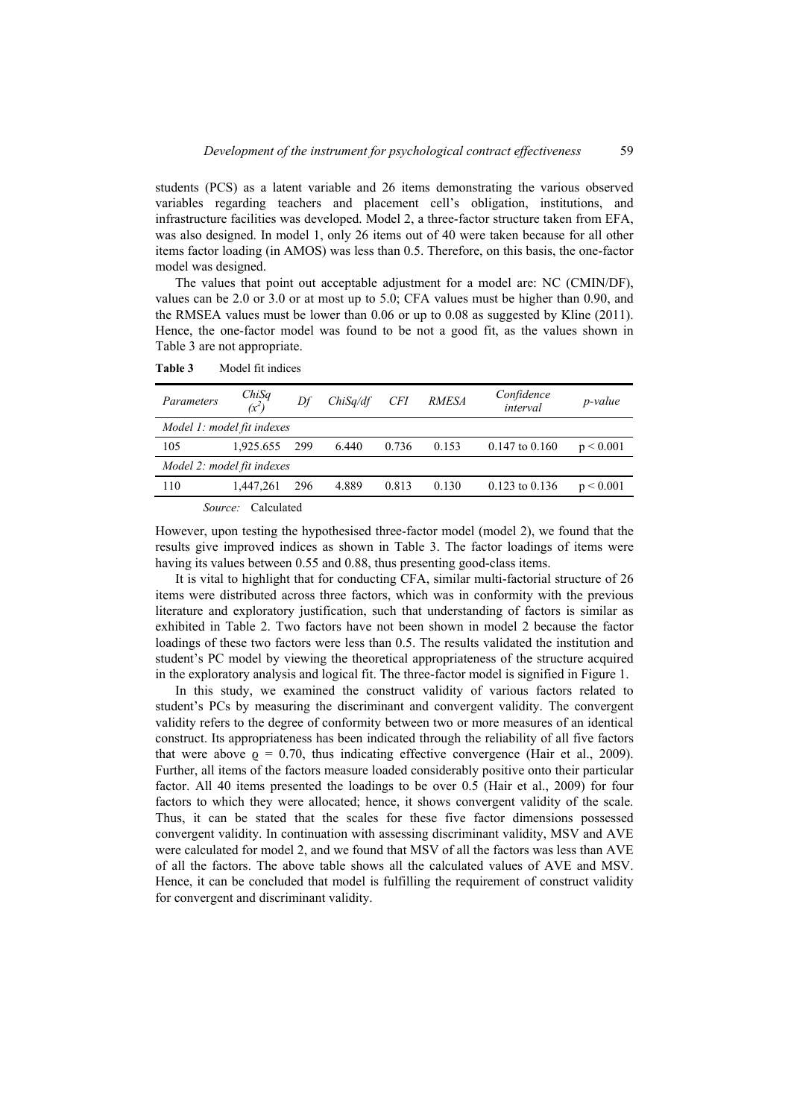students (PCS) as a latent variable and 26 items demonstrating the various observed variables regarding teachers and placement cell's obligation, institutions, and infrastructure facilities was developed. Model 2, a three-factor structure taken from EFA, was also designed. In model 1, only 26 items out of 40 were taken because for all other items factor loading (in AMOS) was less than 0.5. Therefore, on this basis, the one-factor model was designed.

The values that point out acceptable adjustment for a model are: NC (CMIN/DF), values can be 2.0 or 3.0 or at most up to 5.0; CFA values must be higher than 0.90, and the RMSEA values must be lower than 0.06 or up to 0.08 as suggested by Kline (2011). Hence, the one-factor model was found to be not a good fit, as the values shown in Table 3 are not appropriate.

| Parameters                 | $ChiSq$<br>$(x^2)$ | Df  | ChiSa/df | <b>CFI</b> | <b>RMESA</b> | Confidence<br>interval | <i>p</i> -value |
|----------------------------|--------------------|-----|----------|------------|--------------|------------------------|-----------------|
| Model 1: model fit indexes |                    |     |          |            |              |                        |                 |
| 105                        | 1.925.655          | 299 | 6.440    | 0.736      | 0.153        | $0.147$ to $0.160$     | p < 0.001       |
| Model 2: model fit indexes |                    |     |          |            |              |                        |                 |
| 110                        | 1.447.261          | 296 | 4.889    | 0.813      | 0.130        | $0.123$ to $0.136$     | p < 0.001       |
|                            | .                  |     |          |            |              |                        |                 |

**Table 3** Model fit indices

*Source:* Calculated

However, upon testing the hypothesised three-factor model (model 2), we found that the results give improved indices as shown in Table 3. The factor loadings of items were having its values between 0.55 and 0.88, thus presenting good-class items.

It is vital to highlight that for conducting CFA, similar multi-factorial structure of 26 items were distributed across three factors, which was in conformity with the previous literature and exploratory justification, such that understanding of factors is similar as exhibited in Table 2. Two factors have not been shown in model 2 because the factor loadings of these two factors were less than 0.5. The results validated the institution and student's PC model by viewing the theoretical appropriateness of the structure acquired in the exploratory analysis and logical fit. The three-factor model is signified in Figure 1.

In this study, we examined the construct validity of various factors related to student's PCs by measuring the discriminant and convergent validity. The convergent validity refers to the degree of conformity between two or more measures of an identical construct. Its appropriateness has been indicated through the reliability of all five factors that were above  $\rho = 0.70$ , thus indicating effective convergence (Hair et al., 2009). Further, all items of the factors measure loaded considerably positive onto their particular factor. All 40 items presented the loadings to be over 0.5 (Hair et al., 2009) for four factors to which they were allocated; hence, it shows convergent validity of the scale. Thus, it can be stated that the scales for these five factor dimensions possessed convergent validity. In continuation with assessing discriminant validity, MSV and AVE were calculated for model 2, and we found that MSV of all the factors was less than AVE of all the factors. The above table shows all the calculated values of AVE and MSV. Hence, it can be concluded that model is fulfilling the requirement of construct validity for convergent and discriminant validity.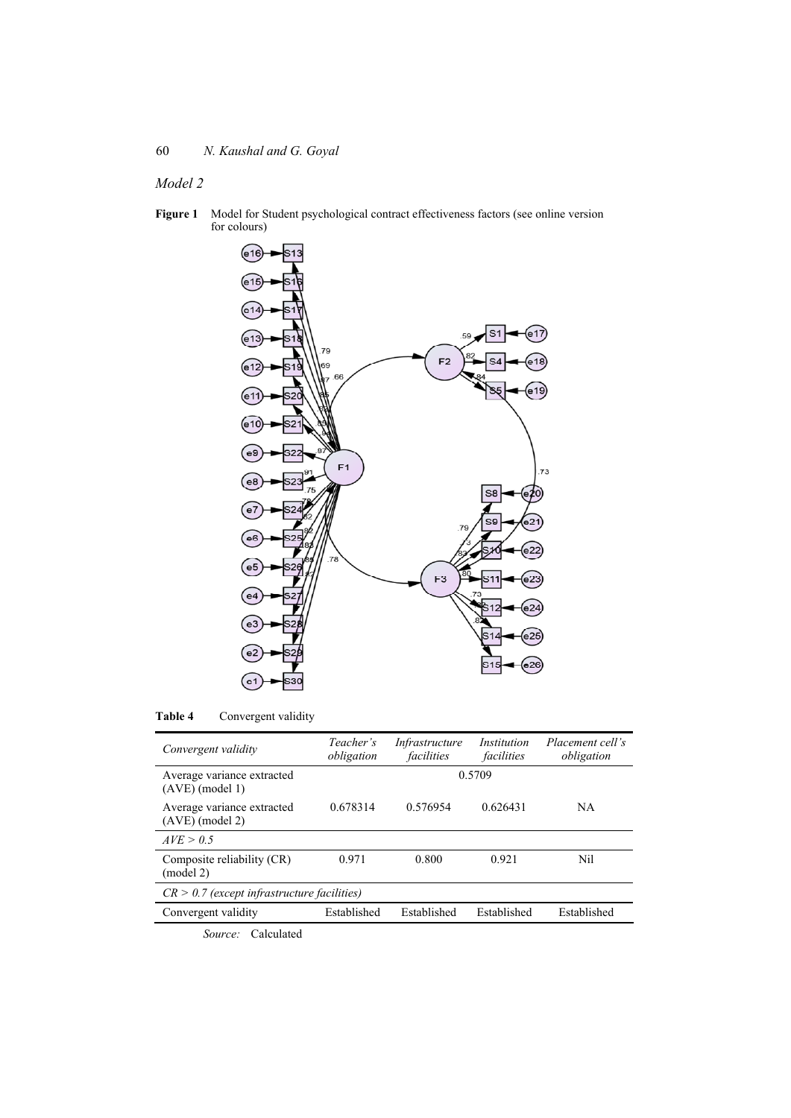# *Model 2*

**Figure 1** Model for Student psychological contract effectiveness factors (see online version for colours)



**Table 4** Convergent validity

| Convergent validity                             | Teacher's<br>obligation | <i>Infrastructure</i><br>facilities | Institution<br>facilities | Placement cell's<br>obligation |  |
|-------------------------------------------------|-------------------------|-------------------------------------|---------------------------|--------------------------------|--|
| Average variance extracted<br>$(AVE)$ (model 1) | 0.5709                  |                                     |                           |                                |  |
| Average variance extracted<br>$(AVE)$ (model 2) | 0.678314                | 0.576954                            | 0.626431                  | NA.                            |  |
| AVE > 0.5                                       |                         |                                     |                           |                                |  |
| Composite reliability (CR)<br>(model 2)         | 0.971                   | 0.800                               | 0.921                     | Nil                            |  |
| $CR > 0.7$ (except infrastructure facilities)   |                         |                                     |                           |                                |  |
| Convergent validity                             | Established             | Established                         | Established               | Established                    |  |
| $0 \t\t 1 \t\t 1 \t\t 1$                        |                         |                                     |                           |                                |  |

*Source:* Calculated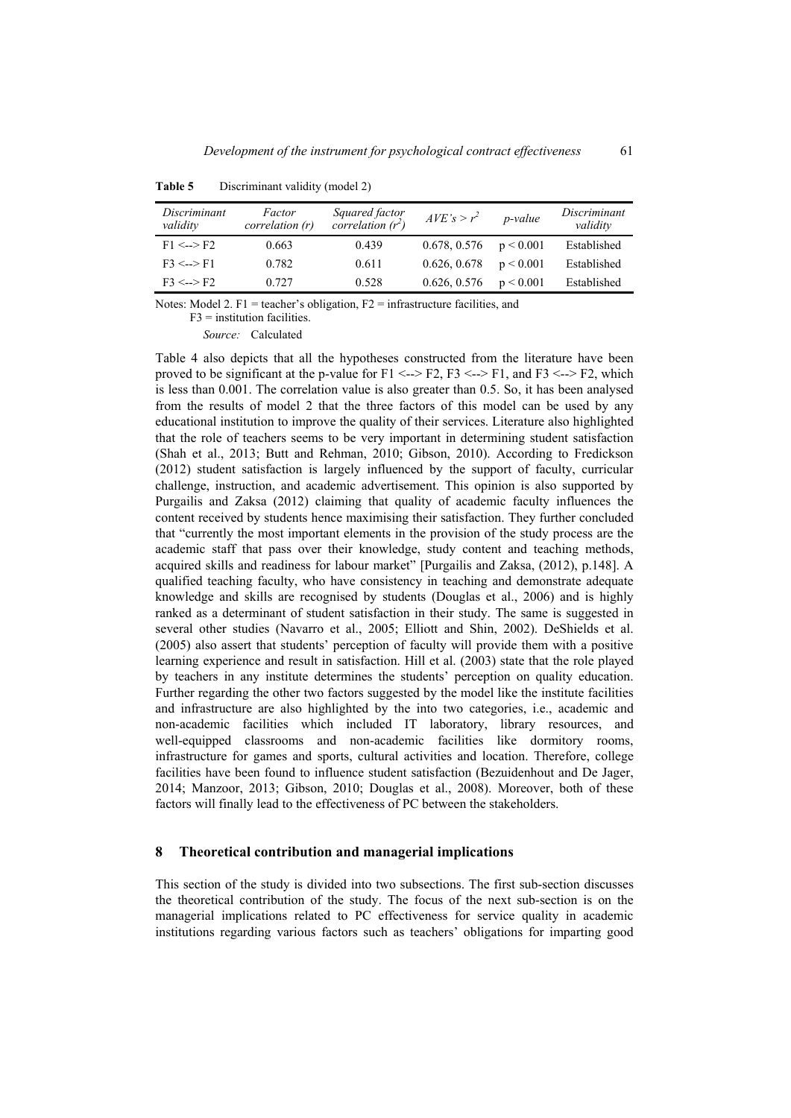| Discriminant<br>validity | Factor<br>correlation(r) | Squared factor<br>correlation $(r^2)$ | $AVE's > r^2$ | p-value   | Discriminant<br>validity |
|--------------------------|--------------------------|---------------------------------------|---------------|-----------|--------------------------|
| $F1 \le -\ge F2$         | 0.663                    | 0.439                                 | 0.678, 0.576  | p < 0.001 | Established              |
| $F3 \le -\ge F1$         | 0.782                    | 0.611                                 | 0.626, 0.678  | p < 0.001 | Established              |
| $F3 \le -\ge F2$         | 0.727                    | 0.528                                 | 0.626, 0.576  | p < 0.001 | Established              |

**Table 5** Discriminant validity (model 2)

Notes: Model 2. F1 = teacher's obligation,  $F2$  = infrastructure facilities, and

 $F3$  = institution facilities.

*Source:* Calculated

Table 4 also depicts that all the hypotheses constructed from the literature have been proved to be significant at the p-value for  $F1 \le -\ge F2$ ,  $F3 \le -\ge F1$ , and  $F3 \le -\ge F2$ , which is less than 0.001. The correlation value is also greater than 0.5. So, it has been analysed from the results of model 2 that the three factors of this model can be used by any educational institution to improve the quality of their services. Literature also highlighted that the role of teachers seems to be very important in determining student satisfaction (Shah et al., 2013; Butt and Rehman, 2010; Gibson, 2010). According to Fredickson (2012) student satisfaction is largely influenced by the support of faculty, curricular challenge, instruction, and academic advertisement. This opinion is also supported by Purgailis and Zaksa (2012) claiming that quality of academic faculty influences the content received by students hence maximising their satisfaction. They further concluded that "currently the most important elements in the provision of the study process are the academic staff that pass over their knowledge, study content and teaching methods, acquired skills and readiness for labour market" [Purgailis and Zaksa, (2012), p.148]. A qualified teaching faculty, who have consistency in teaching and demonstrate adequate knowledge and skills are recognised by students (Douglas et al., 2006) and is highly ranked as a determinant of student satisfaction in their study. The same is suggested in several other studies (Navarro et al., 2005; Elliott and Shin, 2002). DeShields et al. (2005) also assert that students' perception of faculty will provide them with a positive learning experience and result in satisfaction. Hill et al. (2003) state that the role played by teachers in any institute determines the students' perception on quality education. Further regarding the other two factors suggested by the model like the institute facilities and infrastructure are also highlighted by the into two categories, i.e., academic and non-academic facilities which included IT laboratory, library resources, and well-equipped classrooms and non-academic facilities like dormitory rooms, infrastructure for games and sports, cultural activities and location. Therefore, college facilities have been found to influence student satisfaction (Bezuidenhout and De Jager, 2014; Manzoor, 2013; Gibson, 2010; Douglas et al., 2008). Moreover, both of these factors will finally lead to the effectiveness of PC between the stakeholders.

#### **8 Theoretical contribution and managerial implications**

This section of the study is divided into two subsections. The first sub-section discusses the theoretical contribution of the study. The focus of the next sub-section is on the managerial implications related to PC effectiveness for service quality in academic institutions regarding various factors such as teachers' obligations for imparting good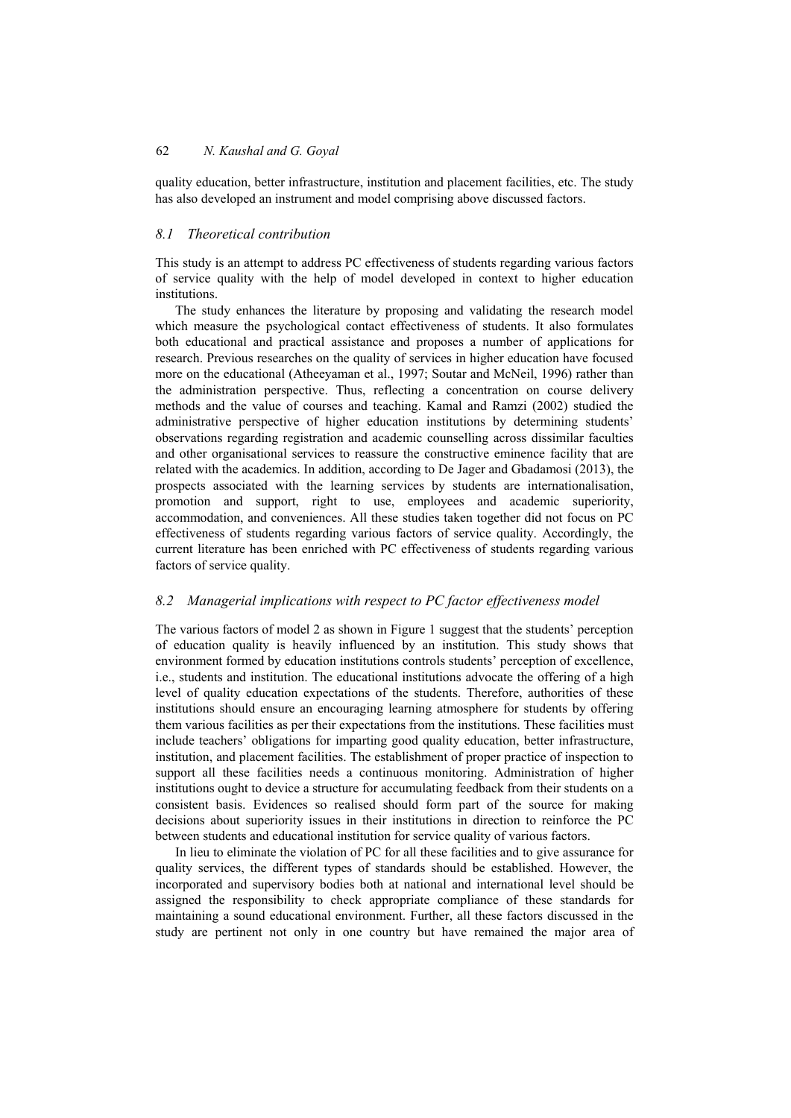quality education, better infrastructure, institution and placement facilities, etc. The study has also developed an instrument and model comprising above discussed factors.

## *8.1 Theoretical contribution*

This study is an attempt to address PC effectiveness of students regarding various factors of service quality with the help of model developed in context to higher education institutions.

The study enhances the literature by proposing and validating the research model which measure the psychological contact effectiveness of students. It also formulates both educational and practical assistance and proposes a number of applications for research. Previous researches on the quality of services in higher education have focused more on the educational (Atheeyaman et al., 1997; Soutar and McNeil, 1996) rather than the administration perspective. Thus, reflecting a concentration on course delivery methods and the value of courses and teaching. Kamal and Ramzi (2002) studied the administrative perspective of higher education institutions by determining students' observations regarding registration and academic counselling across dissimilar faculties and other organisational services to reassure the constructive eminence facility that are related with the academics. In addition, according to De Jager and Gbadamosi (2013), the prospects associated with the learning services by students are internationalisation, promotion and support, right to use, employees and academic superiority, accommodation, and conveniences. All these studies taken together did not focus on PC effectiveness of students regarding various factors of service quality. Accordingly, the current literature has been enriched with PC effectiveness of students regarding various factors of service quality.

## *8.2 Managerial implications with respect to PC factor effectiveness model*

The various factors of model 2 as shown in Figure 1 suggest that the students' perception of education quality is heavily influenced by an institution. This study shows that environment formed by education institutions controls students' perception of excellence, i.e., students and institution. The educational institutions advocate the offering of a high level of quality education expectations of the students. Therefore, authorities of these institutions should ensure an encouraging learning atmosphere for students by offering them various facilities as per their expectations from the institutions. These facilities must include teachers' obligations for imparting good quality education, better infrastructure, institution, and placement facilities. The establishment of proper practice of inspection to support all these facilities needs a continuous monitoring. Administration of higher institutions ought to device a structure for accumulating feedback from their students on a consistent basis. Evidences so realised should form part of the source for making decisions about superiority issues in their institutions in direction to reinforce the PC between students and educational institution for service quality of various factors.

In lieu to eliminate the violation of PC for all these facilities and to give assurance for quality services, the different types of standards should be established. However, the incorporated and supervisory bodies both at national and international level should be assigned the responsibility to check appropriate compliance of these standards for maintaining a sound educational environment. Further, all these factors discussed in the study are pertinent not only in one country but have remained the major area of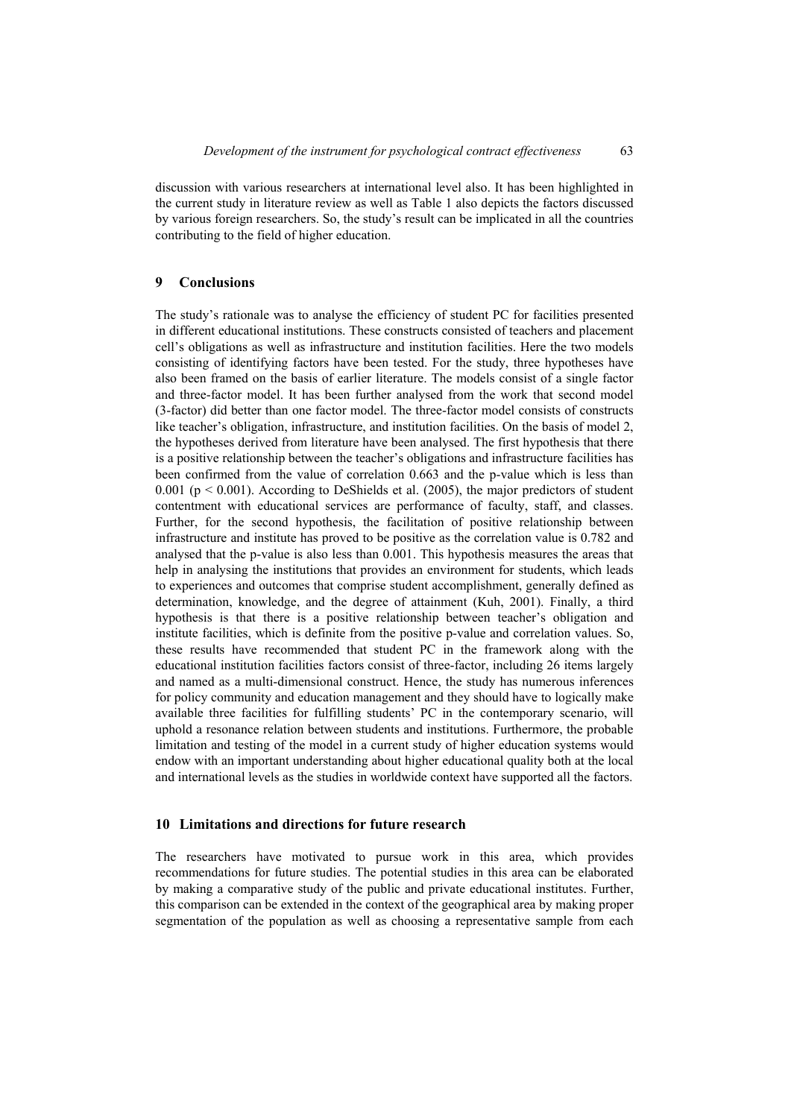discussion with various researchers at international level also. It has been highlighted in the current study in literature review as well as Table 1 also depicts the factors discussed by various foreign researchers. So, the study's result can be implicated in all the countries contributing to the field of higher education.

## **9 Conclusions**

The study's rationale was to analyse the efficiency of student PC for facilities presented in different educational institutions. These constructs consisted of teachers and placement cell's obligations as well as infrastructure and institution facilities. Here the two models consisting of identifying factors have been tested. For the study, three hypotheses have also been framed on the basis of earlier literature. The models consist of a single factor and three-factor model. It has been further analysed from the work that second model (3-factor) did better than one factor model. The three-factor model consists of constructs like teacher's obligation, infrastructure, and institution facilities. On the basis of model 2, the hypotheses derived from literature have been analysed. The first hypothesis that there is a positive relationship between the teacher's obligations and infrastructure facilities has been confirmed from the value of correlation 0.663 and the p-value which is less than 0.001 ( $p < 0.001$ ). According to DeShields et al. (2005), the major predictors of student contentment with educational services are performance of faculty, staff, and classes. Further, for the second hypothesis, the facilitation of positive relationship between infrastructure and institute has proved to be positive as the correlation value is 0.782 and analysed that the p-value is also less than 0.001. This hypothesis measures the areas that help in analysing the institutions that provides an environment for students, which leads to experiences and outcomes that comprise student accomplishment, generally defined as determination, knowledge, and the degree of attainment (Kuh, 2001). Finally, a third hypothesis is that there is a positive relationship between teacher's obligation and institute facilities, which is definite from the positive p-value and correlation values. So, these results have recommended that student PC in the framework along with the educational institution facilities factors consist of three-factor, including 26 items largely and named as a multi-dimensional construct. Hence, the study has numerous inferences for policy community and education management and they should have to logically make available three facilities for fulfilling students' PC in the contemporary scenario, will uphold a resonance relation between students and institutions. Furthermore, the probable limitation and testing of the model in a current study of higher education systems would endow with an important understanding about higher educational quality both at the local and international levels as the studies in worldwide context have supported all the factors.

## **10 Limitations and directions for future research**

The researchers have motivated to pursue work in this area, which provides recommendations for future studies. The potential studies in this area can be elaborated by making a comparative study of the public and private educational institutes. Further, this comparison can be extended in the context of the geographical area by making proper segmentation of the population as well as choosing a representative sample from each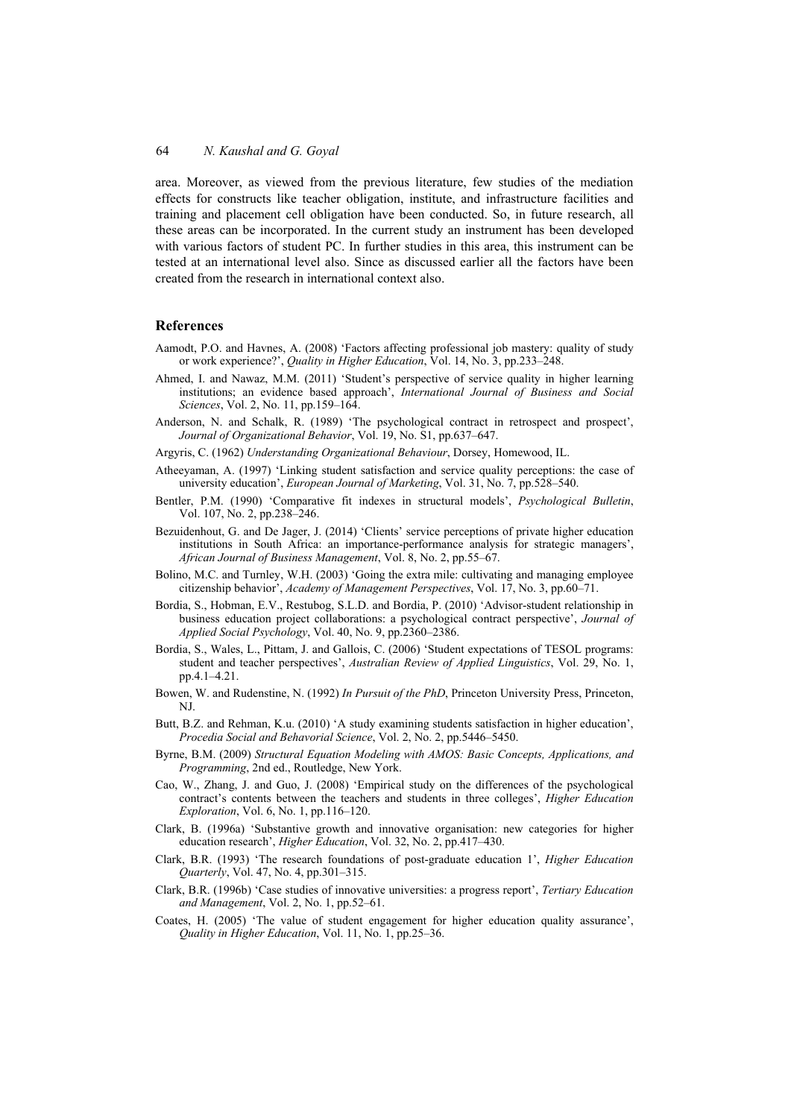area. Moreover, as viewed from the previous literature, few studies of the mediation effects for constructs like teacher obligation, institute, and infrastructure facilities and training and placement cell obligation have been conducted. So, in future research, all these areas can be incorporated. In the current study an instrument has been developed with various factors of student PC. In further studies in this area, this instrument can be tested at an international level also. Since as discussed earlier all the factors have been created from the research in international context also.

## **References**

- Aamodt, P.O. and Havnes, A. (2008) 'Factors affecting professional job mastery: quality of study or work experience?', *Quality in Higher Education*, Vol. 14, No. 3, pp.233–248.
- Ahmed, I. and Nawaz, M.M. (2011) 'Student's perspective of service quality in higher learning institutions; an evidence based approach', *International Journal of Business and Social Sciences*, Vol. 2, No. 11, pp.159–164.
- Anderson, N. and Schalk, R. (1989) 'The psychological contract in retrospect and prospect', *Journal of Organizational Behavior*, Vol. 19, No. S1, pp.637–647.
- Argyris, C. (1962) *Understanding Organizational Behaviour*, Dorsey, Homewood, IL.
- Atheeyaman, A. (1997) 'Linking student satisfaction and service quality perceptions: the case of university education', *European Journal of Marketing*, Vol. 31, No. 7, pp.528–540.
- Bentler, P.M. (1990) 'Comparative fit indexes in structural models', *Psychological Bulletin*, Vol. 107, No. 2, pp.238–246.
- Bezuidenhout, G. and De Jager, J. (2014) 'Clients' service perceptions of private higher education institutions in South Africa: an importance-performance analysis for strategic managers', *African Journal of Business Management*, Vol. 8, No. 2, pp.55–67.
- Bolino, M.C. and Turnley, W.H. (2003) 'Going the extra mile: cultivating and managing employee citizenship behavior', *Academy of Management Perspectives*, Vol. 17, No. 3, pp.60–71.
- Bordia, S., Hobman, E.V., Restubog, S.L.D. and Bordia, P. (2010) 'Advisor-student relationship in business education project collaborations: a psychological contract perspective', *Journal of Applied Social Psychology*, Vol. 40, No. 9, pp.2360–2386.
- Bordia, S., Wales, L., Pittam, J. and Gallois, C. (2006) 'Student expectations of TESOL programs: student and teacher perspectives', *Australian Review of Applied Linguistics*, Vol. 29, No. 1, pp.4.1–4.21.
- Bowen, W. and Rudenstine, N. (1992) *In Pursuit of the PhD*, Princeton University Press, Princeton, NJ.
- Butt, B.Z. and Rehman, K.u. (2010) 'A study examining students satisfaction in higher education', *Procedia Social and Behavorial Science*, Vol. 2, No. 2, pp.5446–5450.
- Byrne, B.M. (2009) *Structural Equation Modeling with AMOS: Basic Concepts, Applications, and Programming*, 2nd ed., Routledge, New York.
- Cao, W., Zhang, J. and Guo, J. (2008) 'Empirical study on the differences of the psychological contract's contents between the teachers and students in three colleges', *Higher Education Exploration*, Vol. 6, No. 1, pp.116–120.
- Clark, B. (1996a) 'Substantive growth and innovative organisation: new categories for higher education research', *Higher Education*, Vol. 32, No. 2, pp.417–430.
- Clark, B.R. (1993) 'The research foundations of post‐graduate education 1', *Higher Education Quarterly*, Vol. 47, No. 4, pp.301–315.
- Clark, B.R. (1996b) 'Case studies of innovative universities: a progress report', *Tertiary Education and Management*, Vol. 2, No. 1, pp.52–61.
- Coates, H. (2005) 'The value of student engagement for higher education quality assurance', *Quality in Higher Education*, Vol. 11, No. 1, pp.25–36.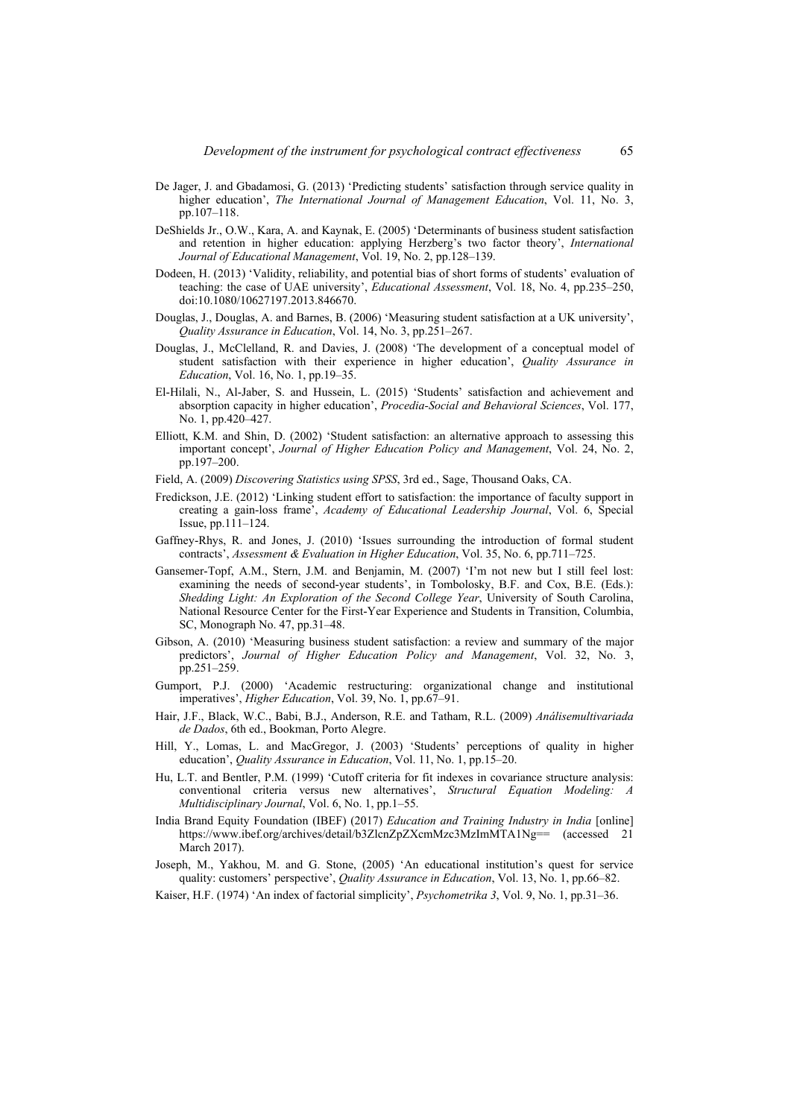- De Jager, J. and Gbadamosi, G. (2013) 'Predicting students' satisfaction through service quality in higher education', *The International Journal of Management Education*, Vol. 11, No. 3, pp.107–118.
- DeShields Jr., O.W., Kara, A. and Kaynak, E. (2005) 'Determinants of business student satisfaction and retention in higher education: applying Herzberg's two factor theory', *International Journal of Educational Management*, Vol. 19, No. 2, pp.128–139.
- Dodeen, H. (2013) 'Validity, reliability, and potential bias of short forms of students' evaluation of teaching: the case of UAE university', *Educational Assessment*, Vol. 18, No. 4, pp.235–250, doi:10.1080/10627197.2013.846670.
- Douglas, J., Douglas, A. and Barnes, B. (2006) 'Measuring student satisfaction at a UK university', *Quality Assurance in Education*, Vol. 14, No. 3, pp.251–267.
- Douglas, J., McClelland, R. and Davies, J. (2008) 'The development of a conceptual model of student satisfaction with their experience in higher education', *Quality Assurance in Education*, Vol. 16, No. 1, pp.19–35.
- El-Hilali, N., Al-Jaber, S. and Hussein, L. (2015) 'Students' satisfaction and achievement and absorption capacity in higher education', *Procedia-Social and Behavioral Sciences*, Vol. 177, No. 1, pp.420–427.
- Elliott, K.M. and Shin, D. (2002) 'Student satisfaction: an alternative approach to assessing this important concept', *Journal of Higher Education Policy and Management*, Vol. 24, No. 2, pp.197–200.
- Field, A. (2009) *Discovering Statistics using SPSS*, 3rd ed., Sage, Thousand Oaks, CA.
- Fredickson, J.E. (2012) 'Linking student effort to satisfaction: the importance of faculty support in creating a gain-loss frame', *Academy of Educational Leadership Journal*, Vol. 6, Special Issue, pp.111–124.
- Gaffney‐Rhys, R. and Jones, J. (2010) 'Issues surrounding the introduction of formal student contracts', *Assessment & Evaluation in Higher Education*, Vol. 35, No. 6, pp.711–725.
- Gansemer-Topf, A.M., Stern, J.M. and Benjamin, M. (2007) 'I'm not new but I still feel lost: examining the needs of second-year students', in Tombolosky, B.F. and Cox, B.E. (Eds.): *Shedding Light: An Exploration of the Second College Year*, University of South Carolina, National Resource Center for the First-Year Experience and Students in Transition, Columbia, SC, Monograph No. 47, pp.31–48.
- Gibson, A. (2010) 'Measuring business student satisfaction: a review and summary of the major predictors', *Journal of Higher Education Policy and Management*, Vol. 32, No. 3, pp.251–259.
- Gumport, P.J. (2000) 'Academic restructuring: organizational change and institutional imperatives', *Higher Education*, Vol. 39, No. 1, pp.67–91.
- Hair, J.F., Black, W.C., Babi, B.J., Anderson, R.E. and Tatham, R.L. (2009) *Análisemultivariada de Dados*, 6th ed., Bookman, Porto Alegre.
- Hill, Y., Lomas, L. and MacGregor, J. (2003) 'Students' perceptions of quality in higher education', *Quality Assurance in Education*, Vol. 11, No. 1, pp.15–20.
- Hu, L.T. and Bentler, P.M. (1999) 'Cutoff criteria for fit indexes in covariance structure analysis: conventional criteria versus new alternatives', *Structural Equation Modeling: A Multidisciplinary Journal*, Vol. 6, No. 1, pp.1–55.
- India Brand Equity Foundation (IBEF) (2017) *Education and Training Industry in India* [online] https://www.ibef.org/archives/detail/b3ZlcnZpZXcmMzc3MzImMTA1Ng== (accessed 21 March 2017).
- Joseph, M., Yakhou, M. and G. Stone, (2005) 'An educational institution's quest for service quality: customers' perspective', *Quality Assurance in Education*, Vol. 13, No. 1, pp.66–82.
- Kaiser, H.F. (1974) 'An index of factorial simplicity', *Psychometrika 3*, Vol. 9, No. 1, pp.31–36.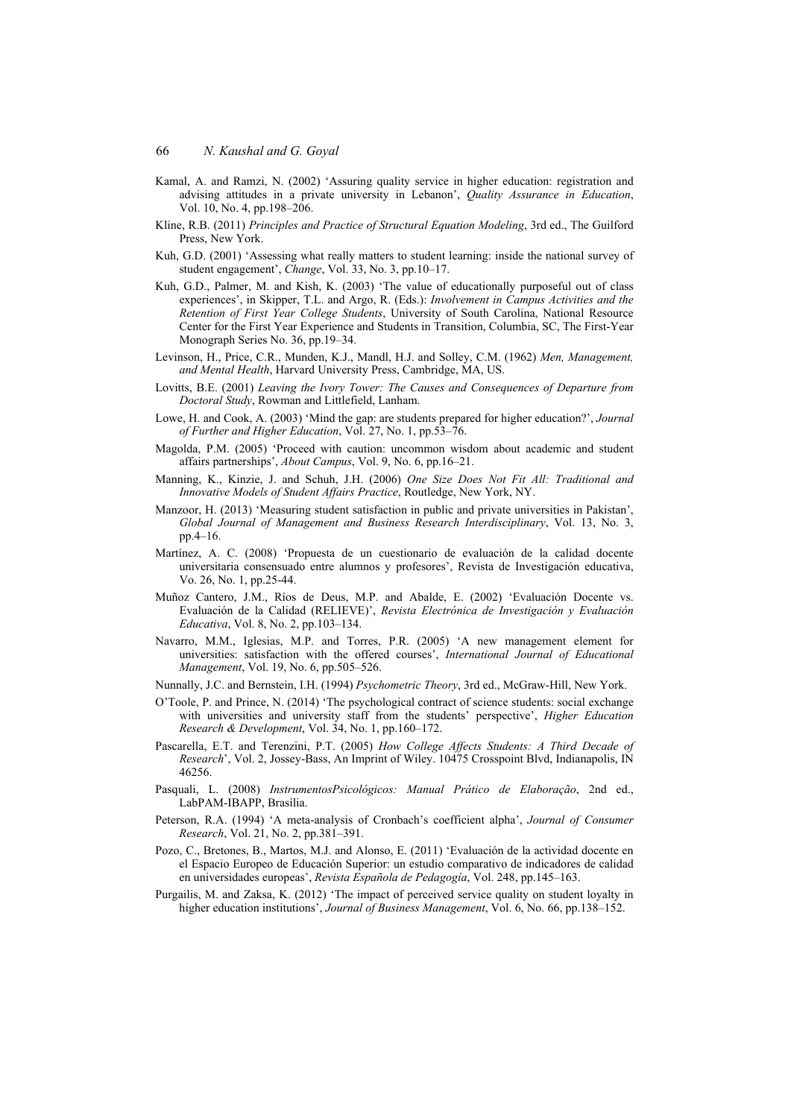- Kamal, A. and Ramzi, N. (2002) 'Assuring quality service in higher education: registration and advising attitudes in a private university in Lebanon', *Quality Assurance in Education*, Vol. 10, No. 4, pp.198–206.
- Kline, R.B. (2011) *Principles and Practice of Structural Equation Modeling*, 3rd ed., The Guilford Press, New York.
- Kuh, G.D. (2001) 'Assessing what really matters to student learning: inside the national survey of student engagement', *Change*, Vol. 33, No. 3, pp.10–17.
- Kuh, G.D., Palmer, M. and Kish, K. (2003) 'The value of educationally purposeful out of class experiences', in Skipper, T.L. and Argo, R. (Eds.): *Involvement in Campus Activities and the Retention of First Year College Students*, University of South Carolina, National Resource Center for the First Year Experience and Students in Transition, Columbia, SC, The First-Year Monograph Series No. 36, pp.19–34.
- Levinson, H., Price, C.R., Munden, K.J., Mandl, H.J. and Solley, C.M. (1962) *Men, Management, and Mental Health*, Harvard University Press, Cambridge, MA, US.
- Lovitts, B.E. (2001) *Leaving the Ivory Tower: The Causes and Consequences of Departure from Doctoral Study*, Rowman and Littlefield, Lanham.
- Lowe, H. and Cook, A. (2003) 'Mind the gap: are students prepared for higher education?', *Journal of Further and Higher Education*, Vol. 27, No. 1, pp.53–76.
- Magolda, P.M. (2005) 'Proceed with caution: uncommon wisdom about academic and student affairs partnerships', *About Campus*, Vol. 9, No. 6, pp.16–21.
- Manning, K., Kinzie, J. and Schuh, J.H. (2006) *One Size Does Not Fit All: Traditional and Innovative Models of Student Affairs Practice*, Routledge, New York, NY.
- Manzoor, H. (2013) 'Measuring student satisfaction in public and private universities in Pakistan', *Global Journal of Management and Business Research Interdisciplinary*, Vol. 13, No. 3, pp.4–16.
- Martínez, A. C. (2008) 'Propuesta de un cuestionario de evaluación de la calidad docente universitaria consensuado entre alumnos y profesores', Revista de Investigación educativa, Vo. 26, No. 1, pp.25-44.
- Muñoz Cantero, J.M., Ríos de Deus, M.P. and Abalde, E. (2002) 'Evaluación Docente vs. Evaluación de la Calidad (RELIEVE)', *Revista Electrónica de Investigación y Evaluación Educativa*, Vol. 8, No. 2, pp.103–134.
- Navarro, M.M., Iglesias, M.P. and Torres, P.R. (2005) 'A new management element for universities: satisfaction with the offered courses', *International Journal of Educational Management*, Vol. 19, No. 6, pp.505–526.
- Nunnally, J.C. and Bernstein, I.H. (1994) *Psychometric Theory*, 3rd ed., McGraw-Hill, New York.
- O'Toole, P. and Prince, N. (2014) 'The psychological contract of science students: social exchange with universities and university staff from the students' perspective', *Higher Education Research & Development*, Vol. 34, No. 1, pp.160–172.
- Pascarella, E.T. and Terenzini, P.T. (2005) *How College Affects Students: A Third Decade of Research*', Vol. 2, Jossey-Bass, An Imprint of Wiley. 10475 Crosspoint Blvd, Indianapolis, IN 46256.
- Pasquali, L. (2008) *InstrumentosPsicológicos: Manual Prático de Elaboração*, 2nd ed., LabPAM-IBAPP, Brasília.
- Peterson, R.A. (1994) 'A meta-analysis of Cronbach's coefficient alpha', *Journal of Consumer Research*, Vol. 21, No. 2, pp.381–391.
- Pozo, C., Bretones, B., Martos, M.J. and Alonso, E. (2011) 'Evaluación de la actividad docente en el Espacio Europeo de Educación Superior: un estudio comparativo de indicadores de calidad en universidades europeas', *Revista Española de Pedagogía*, Vol. 248, pp.145–163.
- Purgailis, M. and Zaksa, K. (2012) 'The impact of perceived service quality on student loyalty in higher education institutions', *Journal of Business Management*, Vol. 6, No. 66, pp.138–152.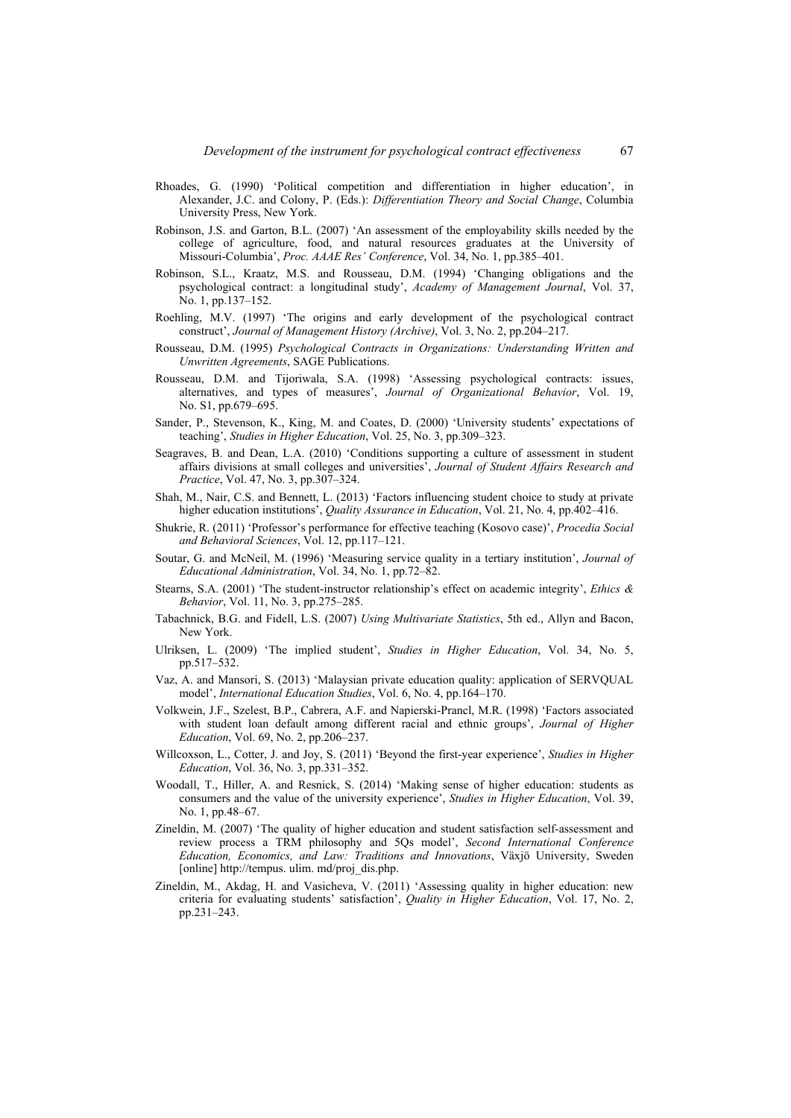- Rhoades, G. (1990) 'Political competition and differentiation in higher education', in Alexander, J.C. and Colony, P. (Eds.): *Differentiation Theory and Social Change*, Columbia University Press, New York.
- Robinson, J.S. and Garton, B.L. (2007) 'An assessment of the employability skills needed by the college of agriculture, food, and natural resources graduates at the University of Missouri-Columbia', *Proc. AAAE Res' Conference*, Vol. 34, No. 1, pp.385–401.
- Robinson, S.L., Kraatz, M.S. and Rousseau, D.M. (1994) 'Changing obligations and the psychological contract: a longitudinal study', *Academy of Management Journal*, Vol. 37, No. 1, pp.137–152.
- Roehling, M.V. (1997) 'The origins and early development of the psychological contract construct', *Journal of Management History (Archive)*, Vol. 3, No. 2, pp.204–217.
- Rousseau, D.M. (1995) *Psychological Contracts in Organizations: Understanding Written and Unwritten Agreements*, SAGE Publications.
- Rousseau, D.M. and Tijoriwala, S.A. (1998) 'Assessing psychological contracts: issues, alternatives, and types of measures', *Journal of Organizational Behavior*, Vol. 19, No. S1, pp.679–695.
- Sander, P., Stevenson, K., King, M. and Coates, D. (2000) 'University students' expectations of teaching', *Studies in Higher Education*, Vol. 25, No. 3, pp.309–323.
- Seagraves, B. and Dean, L.A. (2010) 'Conditions supporting a culture of assessment in student affairs divisions at small colleges and universities', *Journal of Student Affairs Research and Practice*, Vol. 47, No. 3, pp.307–324.
- Shah, M., Nair, C.S. and Bennett, L. (2013) 'Factors influencing student choice to study at private higher education institutions', *Quality Assurance in Education*, Vol. 21, No. 4, pp.402–416.
- Shukrie, R. (2011) 'Professor's performance for effective teaching (Kosovo case)', *Procedia Social and Behavioral Sciences*, Vol. 12, pp.117–121.
- Soutar, G. and McNeil, M. (1996) 'Measuring service quality in a tertiary institution', *Journal of Educational Administration*, Vol. 34, No. 1, pp.72–82.
- Stearns, S.A. (2001) 'The student-instructor relationship's effect on academic integrity', *Ethics & Behavior*, Vol. 11, No. 3, pp.275–285.
- Tabachnick, B.G. and Fidell, L.S. (2007) *Using Multivariate Statistics*, 5th ed., Allyn and Bacon, New York.
- Ulriksen, L. (2009) 'The implied student', *Studies in Higher Education*, Vol. 34, No. 5, pp.517–532.
- Vaz, A. and Mansori, S. (2013) 'Malaysian private education quality: application of SERVQUAL model', *International Education Studies*, Vol. 6, No. 4, pp.164–170.
- Volkwein, J.F., Szelest, B.P., Cabrera, A.F. and Napierski-Prancl, M.R. (1998) 'Factors associated with student loan default among different racial and ethnic groups', *Journal of Higher Education*, Vol. 69, No. 2, pp.206–237.
- Willcoxson, L., Cotter, J. and Joy, S. (2011) 'Beyond the first-year experience', *Studies in Higher Education*, Vol. 36, No. 3, pp.331–352.
- Woodall, T., Hiller, A. and Resnick, S. (2014) 'Making sense of higher education: students as consumers and the value of the university experience', *Studies in Higher Education*, Vol. 39, No. 1, pp.48–67.
- Zineldin, M. (2007) 'The quality of higher education and student satisfaction self-assessment and review process a TRM philosophy and 5Qs model', *Second International Conference Education, Economics, and Law: Traditions and Innovations*, Växjö University, Sweden [online] http://tempus. ulim. md/proj\_dis.php.
- Zineldin, M., Akdag, H. and Vasicheva, V. (2011) 'Assessing quality in higher education: new criteria for evaluating students' satisfaction', *Quality in Higher Education*, Vol. 17, No. 2, pp.231–243.